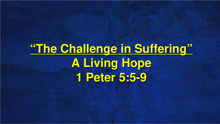## **"The Challenge in Suffering" A Living Hope 1 Peter 5:5-9**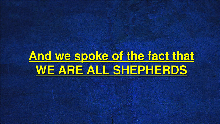## **And we spoke of the fact that WE ARE ALL SHEPHERDS**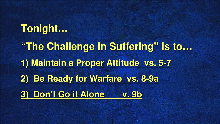# **Tonight… "The Challenge in Suffering" is to… 1) Maintain a Proper Attitude vs. 5-7 2) Be Ready for Warfare vs. 8-9a 3) Don't Go it Alone v. 9b**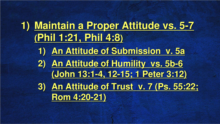### **1) Maintain a Proper Attitude vs. 5-7 (Phil 1:21, Phil 4:8)**

- **1) An Attitude of Submission v. 5a**
- **2) An Attitude of Humility vs. 5b-6 (John 13:1-4, 12-15; 1 Peter 3:12)**
- **3) An Attitude of Trust v. 7 (Ps. 55:22; Rom 4:20-21)**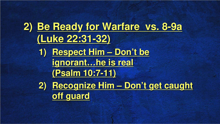**2) Be Ready for Warfare vs. 8-9a (Luke 22:31-32) 1) Respect Him – Don't be ignorant…he is real (Psalm 10:7-11) 2) Recognize Him – Don't get caught off guard**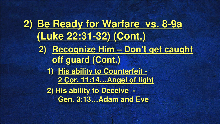**2) Be Ready for Warfare vs. 8-9a (Luke 22:31-32) (Cont.) 2) Recognize Him – Don't get caught off guard (Cont.) 1) His ability to Counterfeit** - **2 Cor. 11:14…Angel of light 2) His ability to Deceive - Gen. 3:13…Adam and Eve**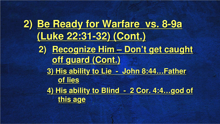**2) Be Ready for Warfare vs. 8-9a (Luke 22:31-32) (Cont.) 2) Recognize Him – Don't get caught off guard (Cont.) 3) His ability to Lie - John 8:44…Father of lies 4) His ability to Blind - 2 Cor. 4:4…god of this age**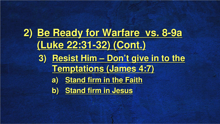**2) Be Ready for Warfare vs. 8-9a (Luke 22:31-32) (Cont.) 3) Resist Him – Don't give in to the Temptations (James 4:7) a) Stand firm in the Faith b) Stand firm in Jesus**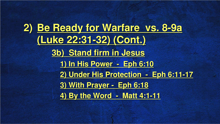**2) Be Ready for Warfare vs. 8-9a (Luke 22:31-32) (Cont.) 3b) Stand firm in Jesus 1) In His Power - Eph 6:10 2) Under His Protection - Eph 6:11-17 3) With Prayer - Eph 6:18 4) By the Word - Matt 4:1-11**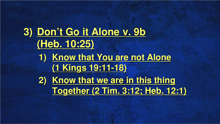**3) Don't Go it Alone v. 9b (Heb. 10:25) 1) Know that You are not Alone (1 Kings 19:11-18) 2) Know that we are in this thing Together (2 Tim. 3:12; Heb. 12:1)**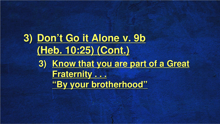#### **3) Don't Go it Alone v. 9b (Heb. 10:25) (Cont.) 3) Know that you are part of a Great Fraternity . . . "By your brotherhood"**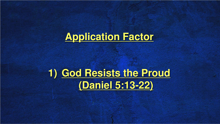

#### **1) God Resists the Proud (Daniel 5:13-22)**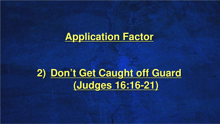

### **2) Don't Get Caught off Guard (Judges 16:16-21)**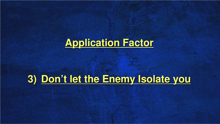

#### **3) Don't let the Enemy Isolate you**